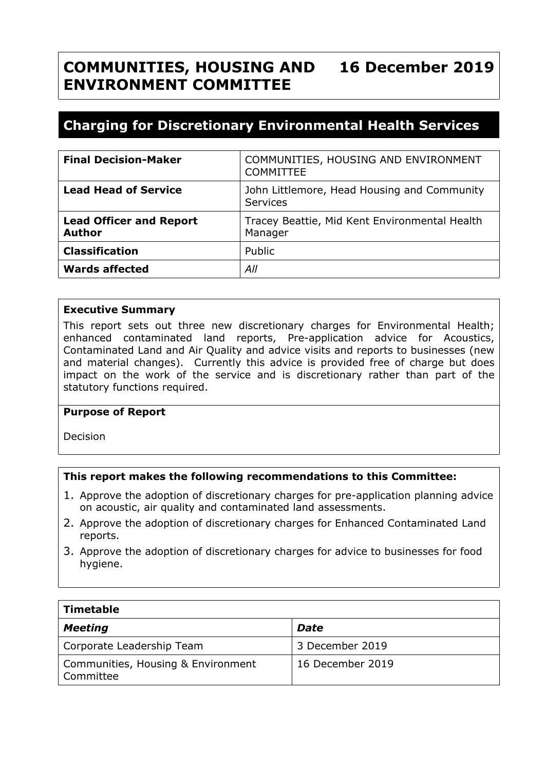#### **COMMUNITIES, HOUSING AND ENVIRONMENT COMMITTEE 16 December 2019**

# **Charging for Discretionary Environmental Health Services**

| <b>Final Decision-Maker</b>                     | COMMUNITIES, HOUSING AND ENVIRONMENT<br><b>COMMITTEE</b>       |
|-------------------------------------------------|----------------------------------------------------------------|
| <b>Lead Head of Service</b>                     | John Littlemore, Head Housing and Community<br><b>Services</b> |
| <b>Lead Officer and Report</b><br><b>Author</b> | Tracey Beattie, Mid Kent Environmental Health<br>Manager       |
| <b>Classification</b>                           | Public                                                         |
| <b>Wards affected</b>                           | All                                                            |

#### **Executive Summary**

This report sets out three new discretionary charges for Environmental Health; enhanced contaminated land reports, Pre-application advice for Acoustics, Contaminated Land and Air Quality and advice visits and reports to businesses (new and material changes). Currently this advice is provided free of charge but does impact on the work of the service and is discretionary rather than part of the statutory functions required.

#### **Purpose of Report**

Decision

#### **This report makes the following recommendations to this Committee:**

- 1. Approve the adoption of discretionary charges for pre-application planning advice on acoustic, air quality and contaminated land assessments.
- 2. Approve the adoption of discretionary charges for Enhanced Contaminated Land reports.
- 3. Approve the adoption of discretionary charges for advice to businesses for food hygiene.

| Timetable                                       |                  |  |  |
|-------------------------------------------------|------------------|--|--|
| <b>Meeting</b>                                  | <b>Date</b>      |  |  |
| Corporate Leadership Team                       | 3 December 2019  |  |  |
| Communities, Housing & Environment<br>Committee | 16 December 2019 |  |  |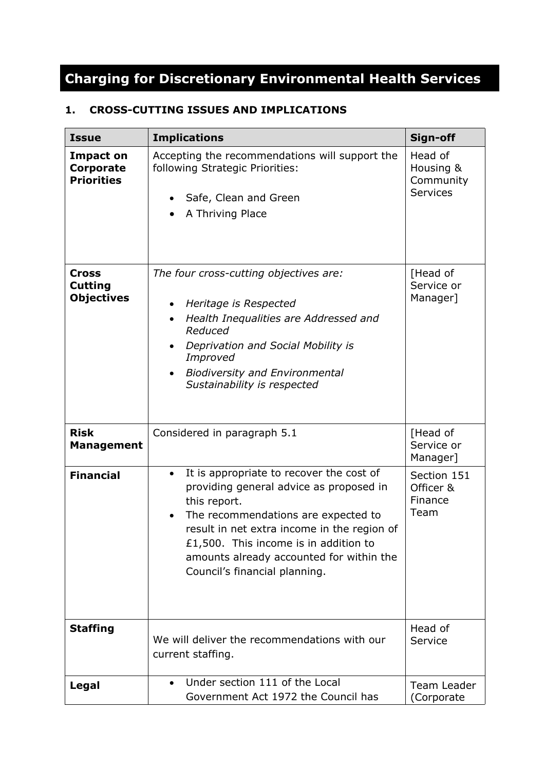# **Charging for Discretionary Environmental Health Services**

## **1. CROSS-CUTTING ISSUES AND IMPLICATIONS**

| <b>Issue</b>                                              | <b>Implications</b>                                                                                                                                                                                                                                                                                                          | Sign-off                                             |
|-----------------------------------------------------------|------------------------------------------------------------------------------------------------------------------------------------------------------------------------------------------------------------------------------------------------------------------------------------------------------------------------------|------------------------------------------------------|
| <b>Impact on</b><br><b>Corporate</b><br><b>Priorities</b> | Accepting the recommendations will support the<br>following Strategic Priorities:<br>Safe, Clean and Green<br>A Thriving Place                                                                                                                                                                                               | Head of<br>Housing &<br>Community<br><b>Services</b> |
| <b>Cross</b><br><b>Cutting</b><br><b>Objectives</b>       | The four cross-cutting objectives are:<br>Heritage is Respected<br>Health Inequalities are Addressed and<br>Reduced<br>Deprivation and Social Mobility is<br>Improved<br><b>Biodiversity and Environmental</b><br>Sustainability is respected                                                                                | [Head of<br>Service or<br>Manager]                   |
| <b>Risk</b><br><b>Management</b>                          | Considered in paragraph 5.1                                                                                                                                                                                                                                                                                                  | [Head of<br>Service or<br>Manager]                   |
| <b>Financial</b>                                          | It is appropriate to recover the cost of<br>$\bullet$<br>providing general advice as proposed in<br>this report.<br>The recommendations are expected to<br>result in net extra income in the region of<br>£1,500. This income is in addition to<br>amounts already accounted for within the<br>Council's financial planning. | Section 151<br>Officer &<br>Finance<br>Team          |
| <b>Staffing</b>                                           | We will deliver the recommendations with our<br>current staffing.                                                                                                                                                                                                                                                            | Head of<br>Service                                   |
| Legal                                                     | Under section 111 of the Local<br>Government Act 1972 the Council has                                                                                                                                                                                                                                                        | Team Leader<br>(Corporate                            |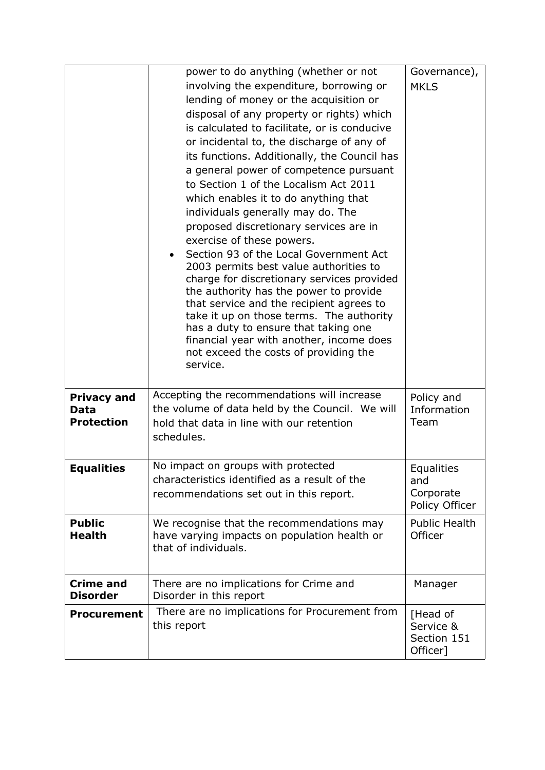|                                                 | power to do anything (whether or not<br>involving the expenditure, borrowing or<br>lending of money or the acquisition or<br>disposal of any property or rights) which<br>is calculated to facilitate, or is conducive<br>or incidental to, the discharge of any of<br>its functions. Additionally, the Council has<br>a general power of competence pursuant<br>to Section 1 of the Localism Act 2011<br>which enables it to do anything that<br>individuals generally may do. The<br>proposed discretionary services are in<br>exercise of these powers.<br>Section 93 of the Local Government Act<br>2003 permits best value authorities to<br>charge for discretionary services provided<br>the authority has the power to provide<br>that service and the recipient agrees to<br>take it up on those terms. The authority<br>has a duty to ensure that taking one<br>financial year with another, income does<br>not exceed the costs of providing the<br>service. | Governance),<br><b>MKLS</b>                      |
|-------------------------------------------------|-------------------------------------------------------------------------------------------------------------------------------------------------------------------------------------------------------------------------------------------------------------------------------------------------------------------------------------------------------------------------------------------------------------------------------------------------------------------------------------------------------------------------------------------------------------------------------------------------------------------------------------------------------------------------------------------------------------------------------------------------------------------------------------------------------------------------------------------------------------------------------------------------------------------------------------------------------------------------|--------------------------------------------------|
| <b>Privacy and</b><br>Data<br><b>Protection</b> | Accepting the recommendations will increase<br>the volume of data held by the Council. We will<br>hold that data in line with our retention<br>schedules.                                                                                                                                                                                                                                                                                                                                                                                                                                                                                                                                                                                                                                                                                                                                                                                                               | Policy and<br>Information<br>Team                |
| <b>Equalities</b>                               | No impact on groups with protected<br>characteristics identified as a result of the<br>recommendations set out in this report.                                                                                                                                                                                                                                                                                                                                                                                                                                                                                                                                                                                                                                                                                                                                                                                                                                          | Equalities<br>and<br>Corporate<br>Policy Officer |
| <b>Public</b><br><b>Health</b>                  | We recognise that the recommendations may<br>have varying impacts on population health or<br>that of individuals.                                                                                                                                                                                                                                                                                                                                                                                                                                                                                                                                                                                                                                                                                                                                                                                                                                                       | <b>Public Health</b><br>Officer                  |
| <b>Crime and</b><br><b>Disorder</b>             | There are no implications for Crime and<br>Disorder in this report                                                                                                                                                                                                                                                                                                                                                                                                                                                                                                                                                                                                                                                                                                                                                                                                                                                                                                      | Manager                                          |
| <b>Procurement</b>                              | There are no implications for Procurement from<br>this report                                                                                                                                                                                                                                                                                                                                                                                                                                                                                                                                                                                                                                                                                                                                                                                                                                                                                                           | [Head of<br>Service &<br>Section 151<br>Officer] |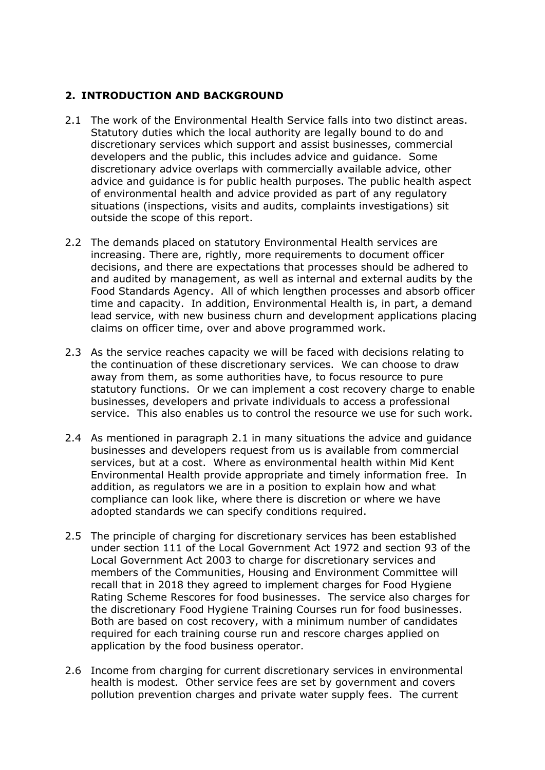#### **2. INTRODUCTION AND BACKGROUND**

- 2.1 The work of the Environmental Health Service falls into two distinct areas. Statutory duties which the local authority are legally bound to do and discretionary services which support and assist businesses, commercial developers and the public, this includes advice and guidance. Some discretionary advice overlaps with commercially available advice, other advice and guidance is for public health purposes. The public health aspect of environmental health and advice provided as part of any regulatory situations (inspections, visits and audits, complaints investigations) sit outside the scope of this report.
- 2.2 The demands placed on statutory Environmental Health services are increasing. There are, rightly, more requirements to document officer decisions, and there are expectations that processes should be adhered to and audited by management, as well as internal and external audits by the Food Standards Agency. All of which lengthen processes and absorb officer time and capacity. In addition, Environmental Health is, in part, a demand lead service, with new business churn and development applications placing claims on officer time, over and above programmed work.
- 2.3 As the service reaches capacity we will be faced with decisions relating to the continuation of these discretionary services. We can choose to draw away from them, as some authorities have, to focus resource to pure statutory functions. Or we can implement a cost recovery charge to enable businesses, developers and private individuals to access a professional service. This also enables us to control the resource we use for such work.
- 2.4 As mentioned in paragraph 2.1 in many situations the advice and guidance businesses and developers request from us is available from commercial services, but at a cost. Where as environmental health within Mid Kent Environmental Health provide appropriate and timely information free. In addition, as regulators we are in a position to explain how and what compliance can look like, where there is discretion or where we have adopted standards we can specify conditions required.
- 2.5 The principle of charging for discretionary services has been established under section 111 of the Local Government Act 1972 and section 93 of the Local Government Act 2003 to charge for discretionary services and members of the Communities, Housing and Environment Committee will recall that in 2018 they agreed to implement charges for Food Hygiene Rating Scheme Rescores for food businesses. The service also charges for the discretionary Food Hygiene Training Courses run for food businesses. Both are based on cost recovery, with a minimum number of candidates required for each training course run and rescore charges applied on application by the food business operator.
- 2.6 Income from charging for current discretionary services in environmental health is modest. Other service fees are set by government and covers pollution prevention charges and private water supply fees. The current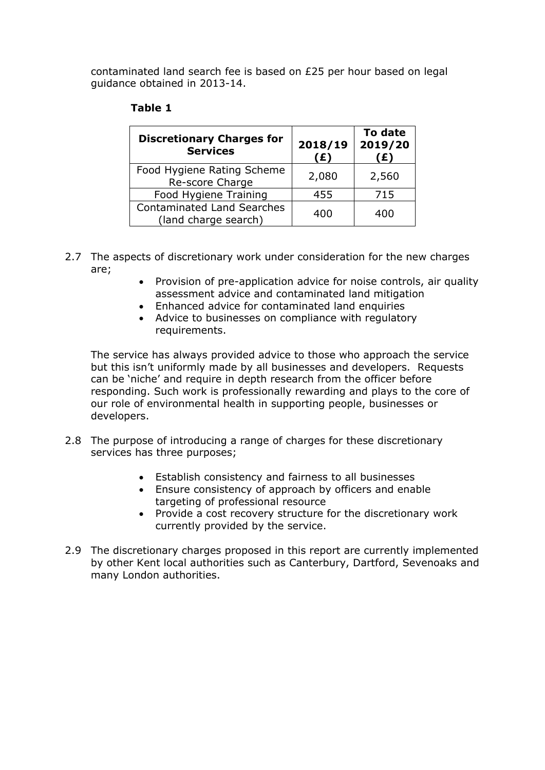contaminated land search fee is based on £25 per hour based on legal guidance obtained in 2013-14.

| <b>Discretionary Charges for</b><br><b>Services</b>       | 2018/19<br>(£) | To date<br>2019/20<br>£) |
|-----------------------------------------------------------|----------------|--------------------------|
| Food Hygiene Rating Scheme<br>Re-score Charge             | 2,080          | 2,560                    |
| Food Hygiene Training                                     | 455            | 715                      |
| <b>Contaminated Land Searches</b><br>(land charge search) | 400            | 400                      |

#### **Table 1**

- 2.7 The aspects of discretionary work under consideration for the new charges are;
	- Provision of pre-application advice for noise controls, air quality assessment advice and contaminated land mitigation
	- Enhanced advice for contaminated land enquiries
	- Advice to businesses on compliance with regulatory requirements.

The service has always provided advice to those who approach the service but this isn't uniformly made by all businesses and developers. Requests can be 'niche' and require in depth research from the officer before responding. Such work is professionally rewarding and plays to the core of our role of environmental health in supporting people, businesses or developers.

- 2.8 The purpose of introducing a range of charges for these discretionary services has three purposes;
	- Establish consistency and fairness to all businesses
	- Ensure consistency of approach by officers and enable targeting of professional resource
	- Provide a cost recovery structure for the discretionary work currently provided by the service.
- 2.9 The discretionary charges proposed in this report are currently implemented by other Kent local authorities such as Canterbury, Dartford, Sevenoaks and many London authorities.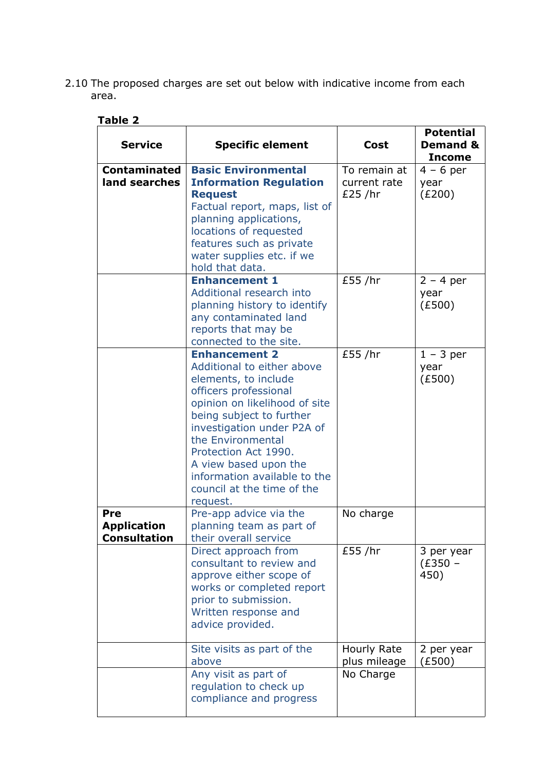2.10 The proposed charges are set out below with indicative income from each area.

| <b>Service</b>                                   | <b>Specific element</b>                                                                                                                                                                                                                                                                                                                        | Cost                                     | <b>Potential</b><br><b>Demand &amp;</b><br><b>Income</b> |
|--------------------------------------------------|------------------------------------------------------------------------------------------------------------------------------------------------------------------------------------------------------------------------------------------------------------------------------------------------------------------------------------------------|------------------------------------------|----------------------------------------------------------|
| <b>Contaminated</b><br>land searches             | <b>Basic Environmental</b><br><b>Information Regulation</b><br><b>Request</b><br>Factual report, maps, list of<br>planning applications,<br>locations of requested<br>features such as private<br>water supplies etc. if we<br>hold that data.                                                                                                 | To remain at<br>current rate<br>£25 / hr | $4 - 6$ per<br>year<br>(E200)                            |
|                                                  | <b>Enhancement 1</b><br>Additional research into<br>planning history to identify<br>any contaminated land<br>reports that may be<br>connected to the site.                                                                                                                                                                                     | £55 /hr                                  | $2 - 4$ per<br>year<br>(E500)                            |
|                                                  | <b>Enhancement 2</b><br>Additional to either above<br>elements, to include<br>officers professional<br>opinion on likelihood of site<br>being subject to further<br>investigation under P2A of<br>the Environmental<br>Protection Act 1990.<br>A view based upon the<br>information available to the<br>council at the time of the<br>request. | £55 /hr                                  | $1 - 3$ per<br>year<br>(E500)                            |
| Pre<br><b>Application</b><br><b>Consultation</b> | Pre-app advice via the<br>planning team as part of<br>their overall service                                                                                                                                                                                                                                                                    | No charge                                |                                                          |
|                                                  | Direct approach from<br>consultant to review and<br>approve either scope of<br>works or completed report<br>prior to submission.<br>Written response and<br>advice provided.                                                                                                                                                                   | £55 / hr                                 | 3 per year<br>$(E350 -$<br>450)                          |
|                                                  | Site visits as part of the<br>above<br>Any visit as part of                                                                                                                                                                                                                                                                                    | Hourly Rate<br>plus mileage<br>No Charge | 2 per year<br>E500)                                      |

regulation to check up compliance and progress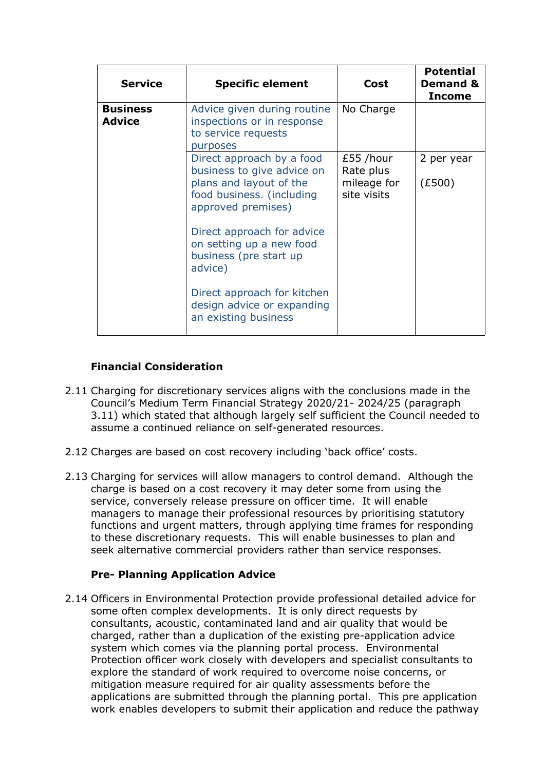| <b>Service</b>                   | <b>Specific element</b>                                                                                                                                                                                                                                             | Cost                                                 | <b>Potential</b><br><b>Demand &amp;</b><br><b>Income</b> |
|----------------------------------|---------------------------------------------------------------------------------------------------------------------------------------------------------------------------------------------------------------------------------------------------------------------|------------------------------------------------------|----------------------------------------------------------|
| <b>Business</b><br><b>Advice</b> | Advice given during routine<br>inspections or in response<br>to service requests<br>purposes                                                                                                                                                                        | No Charge                                            |                                                          |
|                                  | Direct approach by a food<br>business to give advice on<br>plans and layout of the<br>food business. (including<br>approved premises)<br>Direct approach for advice<br>on setting up a new food<br>business (pre start up<br>advice)<br>Direct approach for kitchen | £55 /hour<br>Rate plus<br>mileage for<br>site visits | 2 per year<br>(E500)                                     |
|                                  | design advice or expanding<br>an existing business                                                                                                                                                                                                                  |                                                      |                                                          |

### **Financial Consideration**

- 2.11 Charging for discretionary services aligns with the conclusions made in the Council's Medium Term Financial Strategy 2020/21- 2024/25 (paragraph 3.11) which stated that although largely self sufficient the Council needed to assume a continued reliance on self-generated resources.
- 2.12 Charges are based on cost recovery including 'back office' costs.
- 2.13 Charging for services will allow managers to control demand. Although the charge is based on a cost recovery it may deter some from using the service, conversely release pressure on officer time. It will enable managers to manage their professional resources by prioritising statutory functions and urgent matters, through applying time frames for responding to these discretionary requests. This will enable businesses to plan and seek alternative commercial providers rather than service responses.

#### **Pre- Planning Application Advice**

2.14 Officers in Environmental Protection provide professional detailed advice for some often complex developments. It is only direct requests by consultants, acoustic, contaminated land and air quality that would be charged, rather than a duplication of the existing pre-application advice system which comes via the planning portal process. Environmental Protection officer work closely with developers and specialist consultants to explore the standard of work required to overcome noise concerns, or mitigation measure required for air quality assessments before the applications are submitted through the planning portal. This pre application work enables developers to submit their application and reduce the pathway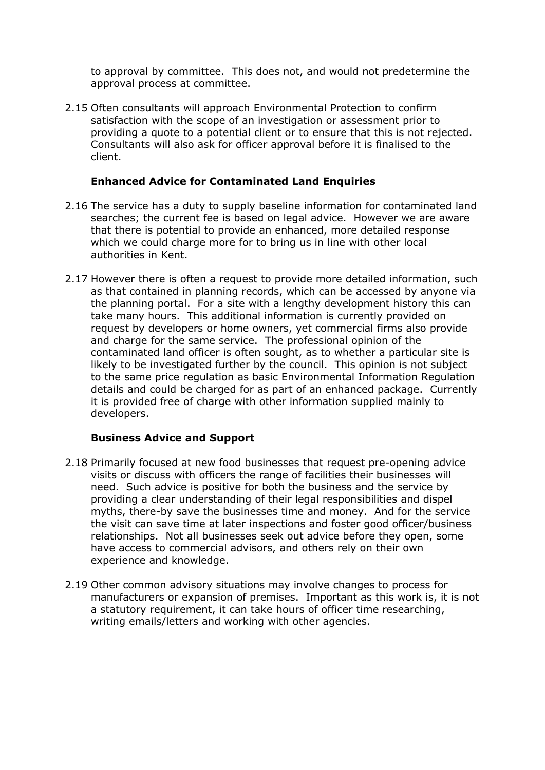to approval by committee. This does not, and would not predetermine the approval process at committee.

2.15 Often consultants will approach Environmental Protection to confirm satisfaction with the scope of an investigation or assessment prior to providing a quote to a potential client or to ensure that this is not rejected. Consultants will also ask for officer approval before it is finalised to the client.

#### **Enhanced Advice for Contaminated Land Enquiries**

- 2.16 The service has a duty to supply baseline information for contaminated land searches; the current fee is based on legal advice. However we are aware that there is potential to provide an enhanced, more detailed response which we could charge more for to bring us in line with other local authorities in Kent.
- 2.17 However there is often a request to provide more detailed information, such as that contained in planning records, which can be accessed by anyone via the planning portal. For a site with a lengthy development history this can take many hours. This additional information is currently provided on request by developers or home owners, yet commercial firms also provide and charge for the same service. The professional opinion of the contaminated land officer is often sought, as to whether a particular site is likely to be investigated further by the council. This opinion is not subject to the same price regulation as basic Environmental Information Regulation details and could be charged for as part of an enhanced package. Currently it is provided free of charge with other information supplied mainly to developers.

#### **Business Advice and Support**

- 2.18 Primarily focused at new food businesses that request pre-opening advice visits or discuss with officers the range of facilities their businesses will need. Such advice is positive for both the business and the service by providing a clear understanding of their legal responsibilities and dispel myths, there-by save the businesses time and money. And for the service the visit can save time at later inspections and foster good officer/business relationships. Not all businesses seek out advice before they open, some have access to commercial advisors, and others rely on their own experience and knowledge.
- 2.19 Other common advisory situations may involve changes to process for manufacturers or expansion of premises. Important as this work is, it is not a statutory requirement, it can take hours of officer time researching, writing emails/letters and working with other agencies.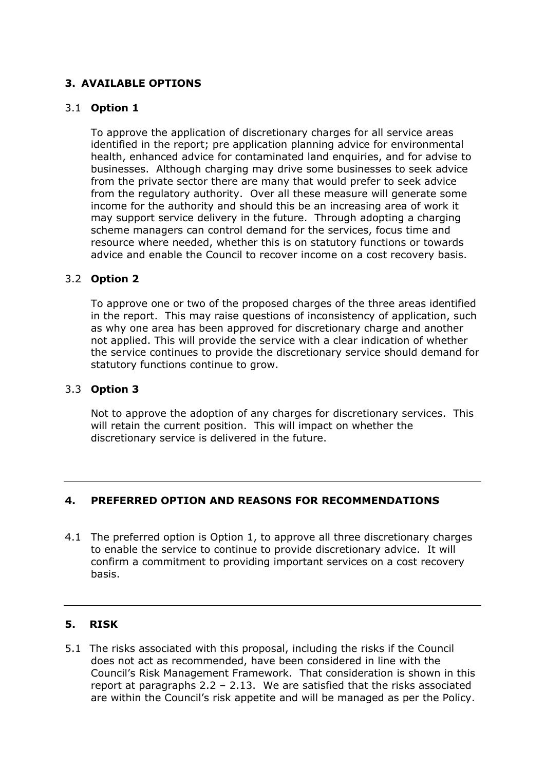### **3. AVAILABLE OPTIONS**

#### 3.1 **Option 1**

To approve the application of discretionary charges for all service areas identified in the report; pre application planning advice for environmental health, enhanced advice for contaminated land enquiries, and for advise to businesses. Although charging may drive some businesses to seek advice from the private sector there are many that would prefer to seek advice from the regulatory authority. Over all these measure will generate some income for the authority and should this be an increasing area of work it may support service delivery in the future. Through adopting a charging scheme managers can control demand for the services, focus time and resource where needed, whether this is on statutory functions or towards advice and enable the Council to recover income on a cost recovery basis.

#### 3.2 **Option 2**

To approve one or two of the proposed charges of the three areas identified in the report. This may raise questions of inconsistency of application, such as why one area has been approved for discretionary charge and another not applied. This will provide the service with a clear indication of whether the service continues to provide the discretionary service should demand for statutory functions continue to grow.

#### 3.3 **Option 3**

Not to approve the adoption of any charges for discretionary services. This will retain the current position. This will impact on whether the discretionary service is delivered in the future.

#### **4. PREFERRED OPTION AND REASONS FOR RECOMMENDATIONS**

4.1 The preferred option is Option 1, to approve all three discretionary charges to enable the service to continue to provide discretionary advice. It will confirm a commitment to providing important services on a cost recovery basis.

#### **5. RISK**

5.1 The risks associated with this proposal, including the risks if the Council does not act as recommended, have been considered in line with the Council's Risk Management Framework. That consideration is shown in this report at paragraphs  $2.2 - 2.13$ . We are satisfied that the risks associated are within the Council's risk appetite and will be managed as per the Policy.